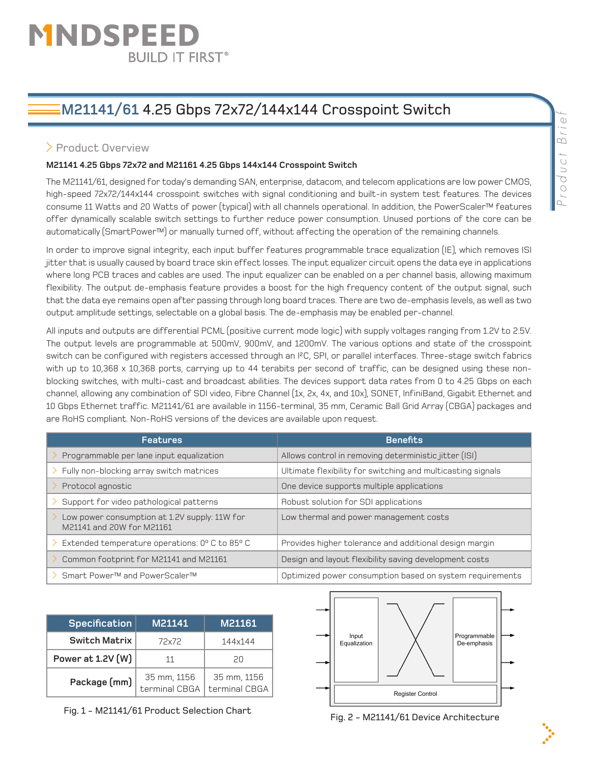# MNDSPEEI **BUILD IT FIRST®**

# **M21141/61** 4.25 Gbps 72x72/144x144 Crosspoint Switch

## > Product Overview

#### **M21141 4.25 Gbps 72x72 and M21161 4.25 Gbps 144x144 Crosspoint Switch**

The M21141/61, designed for today's demanding SAN, enterprise, datacom, and telecom applications are low power CMOS, high-speed 72x72/144x144 crosspoint switches with signal conditioning and built-in system test features. The devices consume 11 Watts and 20 Watts of power (typical) with all channels operational. In addition, the PowerScaler™ features offer dynamically scalable switch settings to further reduce power consumption. Unused portions of the core can be automatically (SmartPower™) or manually turned off, without affecting the operation of the remaining channels.

In order to improve signal integrity, each input buffer features programmable trace equalization (IE), which removes ISI jitter that is usually caused by board trace skin effect losses. The input equalizer circuit opens the data eye in applications where long PCB traces and cables are used. The input equalizer can be enabled on a per channel basis, allowing maximum flexibility. The output de-emphasis feature provides a boost for the high frequency content of the output signal, such that the data eye remains open after passing through long board traces. There are two de-emphasis levels, as well as two output amplitude settings, selectable on a global basis. The de-emphasis may be enabled per-channel.

All inputs and outputs are differential PCML (positive current mode logic) with supply voltages ranging from 1.2V to 2.5V. The output levels are programmable at 500mV, 900mV, and 1200mV. The various options and state of the crosspoint switch can be configured with registers accessed through an I²C, SPI, or parallel interfaces. Three-stage switch fabrics with up to 10,368 x 10,368 ports, carrying up to 44 terabits per second of traffic, can be designed using these nonblocking switches, with multi-cast and broadcast abilities. The devices support data rates from 0 to 4.25 Gbps on each channel, allowing any combination of SDI video, Fibre Channel (1x, 2x, 4x, and 10x), SONET, InfiniBand, Gigabit Ethernet and 10 Gbps Ethernet traffic. M21141/61 are available in 1156-terminal, 35 mm, Ceramic Ball Grid Array (CBGA) packages and are RoHS compliant. Non-RoHS versions of the devices are available upon request.

| <b>Features</b>                                                            | <b>Benefits</b>                                             |  |
|----------------------------------------------------------------------------|-------------------------------------------------------------|--|
| Programmable per lane input equalization                                   | Allows control in removing deterministic jitter (ISI)       |  |
| Fully non-blocking array switch matrices                                   | Ultimate flexibility for switching and multicasting signals |  |
| Protocol agnostic                                                          | One device supports multiple applications                   |  |
| Support for video pathological patterns                                    | Robust solution for SDI applications                        |  |
| Low power consumption at 1.2V supply: 11W for<br>M21141 and 20W for M21161 | Low thermal and power management costs                      |  |
| Extended temperature operations: 0° C to 85° C                             | Provides higher tolerance and additional design margin      |  |
| Common footprint for M21141 and M21161                                     | Design and layout flexibility saving development costs      |  |
| Smart Power™ and PowerScaler™                                              | Optimized power consumption based on system requirements    |  |

| <b>Specification</b> | M21141                       | M21161                       |
|----------------------|------------------------------|------------------------------|
| <b>Switch Matrix</b> | 72x72                        | 144x144                      |
| Power at 1.2V (W)    | 11                           | 20                           |
| Package (mm)         | 35 mm, 1156<br>terminal CBGA | 35 mm, 1156<br>terminal CBGA |

Fig. 1 - M21141/61 Product Selection Chart Fig. 2 - M21141/61 Device Architecture